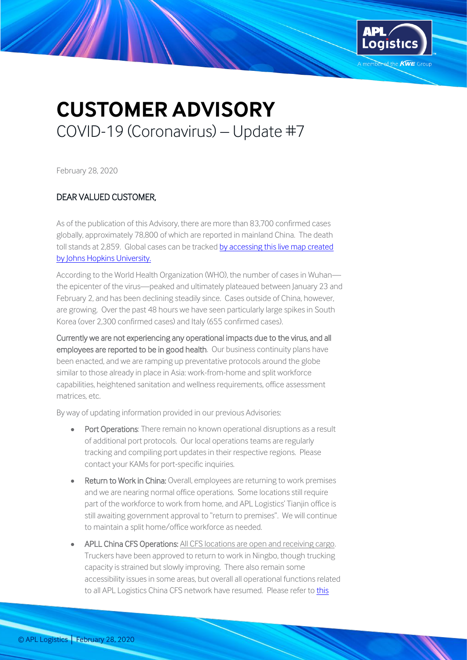

## **CUSTOMER ADVISORY** COVID-19 (Coronavirus) – Update #7

February 28, 2020

## DEAR VALUED CUSTOMER,

As of the publication of this Advisory, there are more than 83,700 confirmed cases globally, approximately 78,800 of which are reported in mainland China. The death toll stands at 2,859. Global cases can be tracked [by accessing this live map created](https://gisanddata.maps.arcgis.com/apps/opsdashboard/index.html#/bda7594740fd40299423467b48e9ecf6)  [by Johns Hopkins University.](https://gisanddata.maps.arcgis.com/apps/opsdashboard/index.html#/bda7594740fd40299423467b48e9ecf6)

According to the World Health Organization (WHO), the number of cases in Wuhan the epicenter of the virus—peaked and ultimately plateaued between January 23 and February 2, and has been declining steadily since. Cases outside of China, however, are growing. Over the past 48 hours we have seen particularly large spikes in South Korea (over 2,300 confirmed cases) and Italy (655 confirmed cases).

Currently we are not experiencing any operational impacts due to the virus, and all employees are reported to be in good health. Our business continuity plans have been enacted, and we are ramping up preventative protocols around the globe similar to those already in place in Asia: work-from-home and split workforce capabilities, heightened sanitation and wellness requirements, office assessment matrices, etc.

By way of updating information provided in our previous Advisories:

- Port Operations: There remain no known operational disruptions as a result of additional port protocols. Our local operations teams are regularly tracking and compiling port updates in their respective regions. Please contact your KAMs for port-specific inquiries.
- Return to Work in China: Overall, employees are returning to work premises and we are nearing normal office operations. Some locations still require part of the workforce to work from home, and APL Logistics' Tianjin office is still awaiting government approval to "return to premises". We will continue to maintain a split home/office workforce as needed.
- APLL China CFS Operations: All CFS locations are open and receiving cargo. Truckers have been approved to return to work in Ningbo, though trucking capacity is strained but slowly improving. There also remain some accessibility issues in some areas, but overall all operational functions related to all APL Logistics China CFS network have resumed. Please refer t[o this](https://apllogistics.my.salesforce.com/sfc/p/o0000000ZWI0/a/1J000000PnlT/oCipucG0_W8HFyJTLNm0QlYrgmrYLDwyiSPlehlXByQ)